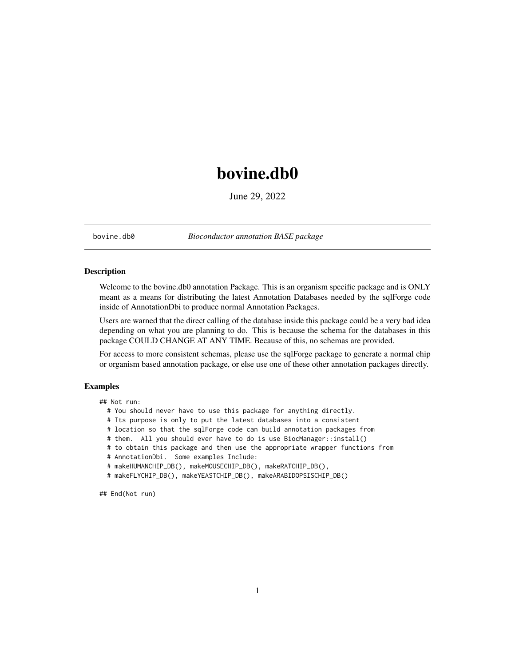## <span id="page-0-0"></span>bovine.db0

June 29, 2022

bovine.db0 *Bioconductor annotation BASE package*

#### Description

Welcome to the bovine.db0 annotation Package. This is an organism specific package and is ONLY meant as a means for distributing the latest Annotation Databases needed by the sqlForge code inside of AnnotationDbi to produce normal Annotation Packages.

Users are warned that the direct calling of the database inside this package could be a very bad idea depending on what you are planning to do. This is because the schema for the databases in this package COULD CHANGE AT ANY TIME. Because of this, no schemas are provided.

For access to more consistent schemas, please use the sqlForge package to generate a normal chip or organism based annotation package, or else use one of these other annotation packages directly.

#### Examples

## Not run:

- # You should never have to use this package for anything directly.
- # Its purpose is only to put the latest databases into a consistent
- # location so that the sqlForge code can build annotation packages from
- # them. All you should ever have to do is use BiocManager::install()
- # to obtain this package and then use the appropriate wrapper functions from
- # AnnotationDbi. Some examples Include:
- # makeHUMANCHIP\_DB(), makeMOUSECHIP\_DB(), makeRATCHIP\_DB(),
- # makeFLYCHIP\_DB(), makeYEASTCHIP\_DB(), makeARABIDOPSISCHIP\_DB()

## End(Not run)